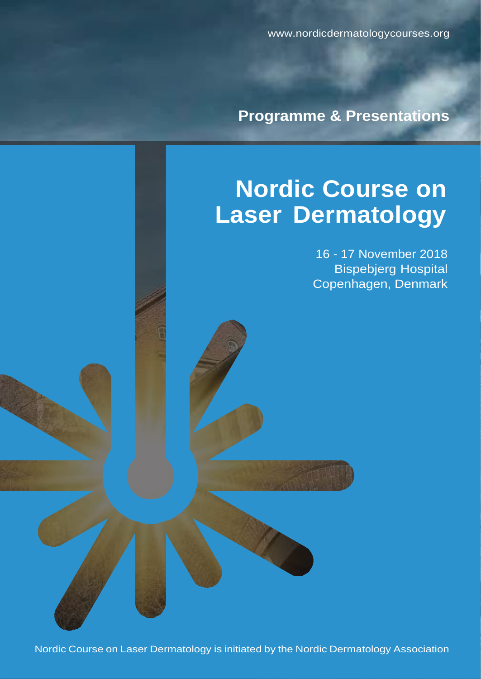**Programme & Presentations**

# **Nordic Course on Laser Dermatology**

16 - 17 November 2018 Bispebjerg Hospital Copenhagen, Denmark

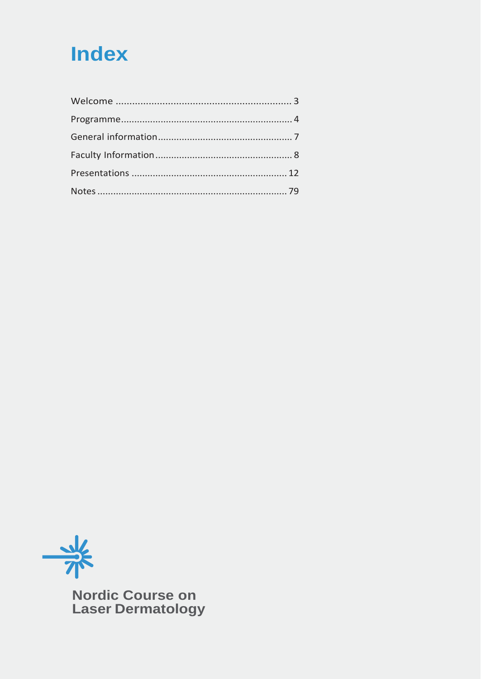# **Index**



**Nordic Course on Laser Dermatology**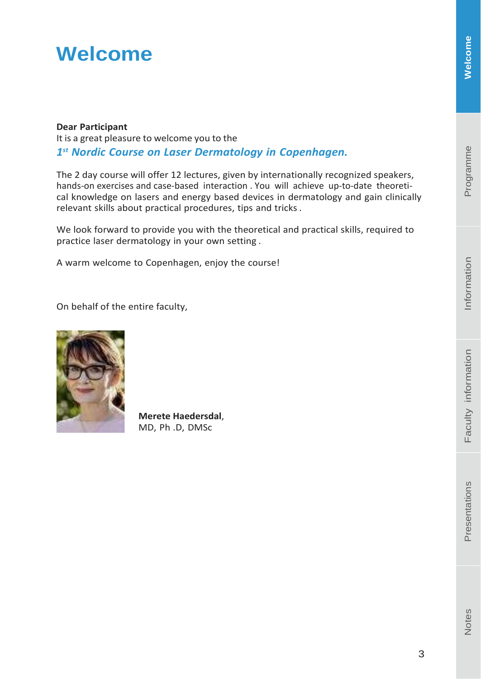### <span id="page-2-0"></span>**Welcome**

#### **Dear Participant**

It is a great pleasure to welcome you to the

*1 st Nordic Course on Laser Dermatology in Copenhagen.*

The 2 day course will offer 12 lectures, given by internationally recognized speakers, hands-on exercises and case-based interaction . You will achieve up-to-date theoretical knowledge on lasers and energy based devices in dermatology and gain clinically relevant skills about practical procedures, tips and tricks.

We look forward to provide you with the theoretical and practical skills, required to practice laser dermatology in your own setting .

A warm welcome to Copenhagen, enjoy the course!

On behalf of the entire faculty,



**Merete Haedersdal**, MD, Ph .D, DMSc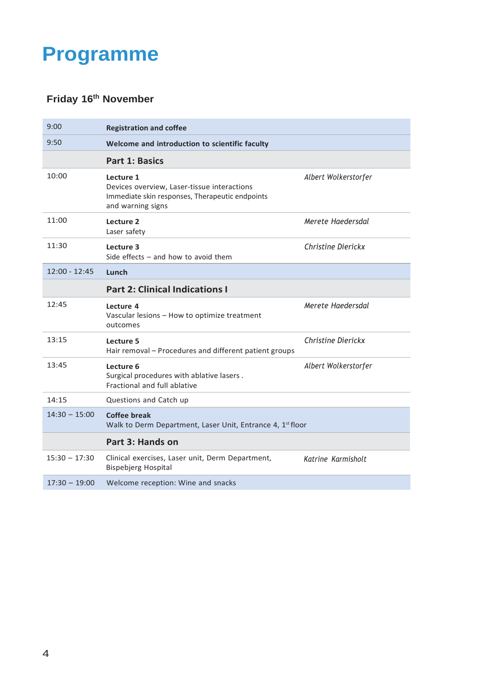## <span id="page-3-0"></span>**Programme**

### **Friday 16th November**

| 9:00            | <b>Registration and coffee</b>                                                                                                   |                      |  |
|-----------------|----------------------------------------------------------------------------------------------------------------------------------|----------------------|--|
| 9:50            | Welcome and introduction to scientific faculty                                                                                   |                      |  |
|                 | Part 1: Basics                                                                                                                   |                      |  |
| 10:00           | Lecture 1<br>Devices overview, Laser-tissue interactions<br>Immediate skin responses, Therapeutic endpoints<br>and warning signs | Albert Wolkerstorfer |  |
| 11:00           | Lecture 2<br>Laser safety                                                                                                        | Merete Haedersdal    |  |
| 11:30           | Lecture 3<br>Side effects - and how to avoid them                                                                                | Christine Dierickx   |  |
| $12:00 - 12:45$ | Lunch                                                                                                                            |                      |  |
|                 | <b>Part 2: Clinical Indications I</b>                                                                                            |                      |  |
| 12:45           | Lecture 4<br>Vascular lesions - How to optimize treatment<br>outcomes                                                            | Merete Haedersdal    |  |
| 13:15           | Lecture 5<br>Hair removal - Procedures and different patient groups                                                              | Christine Dierickx   |  |
| 13:45           | Lecture 6<br>Surgical procedures with ablative lasers.<br>Fractional and full ablative                                           | Albert Wolkerstorfer |  |
| 14:15           | Questions and Catch up                                                                                                           |                      |  |
| $14:30 - 15:00$ | <b>Coffee break</b><br>Walk to Derm Department, Laser Unit, Entrance 4, 1 <sup>st</sup> floor                                    |                      |  |
|                 | Part 3: Hands on                                                                                                                 |                      |  |
| $15:30 - 17:30$ | Clinical exercises, Laser unit, Derm Department,<br><b>Bispebjerg Hospital</b>                                                   | Katrine Karmisholt   |  |
| $17:30 - 19:00$ | Welcome reception: Wine and snacks                                                                                               |                      |  |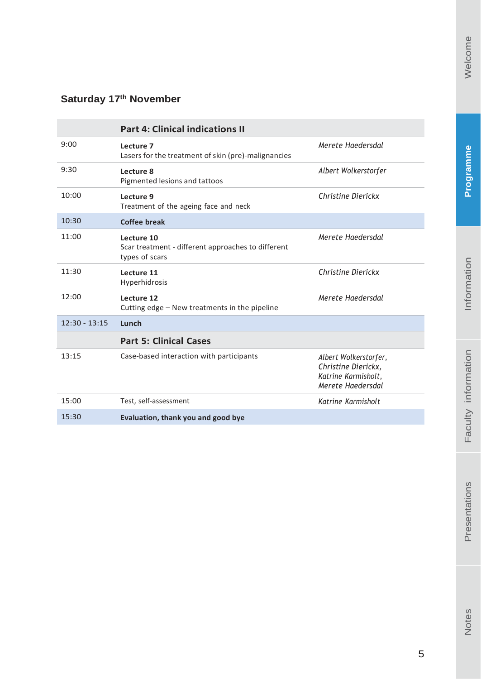### **Saturday 17th November**

|                 | <b>Part 4: Clinical indications II</b>                                             |                                                                                          |
|-----------------|------------------------------------------------------------------------------------|------------------------------------------------------------------------------------------|
| 9:00            | Lecture 7<br>Lasers for the treatment of skin (pre)-malignancies                   | Merete Haedersdal                                                                        |
| 9:30            | Lecture 8<br>Pigmented lesions and tattoos                                         | Albert Wolkerstorfer                                                                     |
| 10:00           | Lecture 9<br>Treatment of the ageing face and neck                                 | Christine Dierickx                                                                       |
| 10:30           | <b>Coffee break</b>                                                                |                                                                                          |
| 11:00           | Lecture 10<br>Scar treatment - different approaches to different<br>types of scars | Merete Haedersdal                                                                        |
| 11:30           | Lecture 11<br>Hyperhidrosis                                                        | Christine Dierickx                                                                       |
| 12:00           | Lecture 12<br>Cutting edge - New treatments in the pipeline                        | Merete Haedersdal                                                                        |
| $12:30 - 13:15$ | Lunch                                                                              |                                                                                          |
|                 | <b>Part 5: Clinical Cases</b>                                                      |                                                                                          |
| 13:15           | Case-based interaction with participants                                           | Albert Wolkerstorfer,<br>Christine Dierickx,<br>Katrine Karmisholt,<br>Merete Haedersdal |
| 15:00           | Test, self-assessment                                                              | Katrine Karmisholt                                                                       |
| 15:30           | Evaluation, thank you and good bye                                                 |                                                                                          |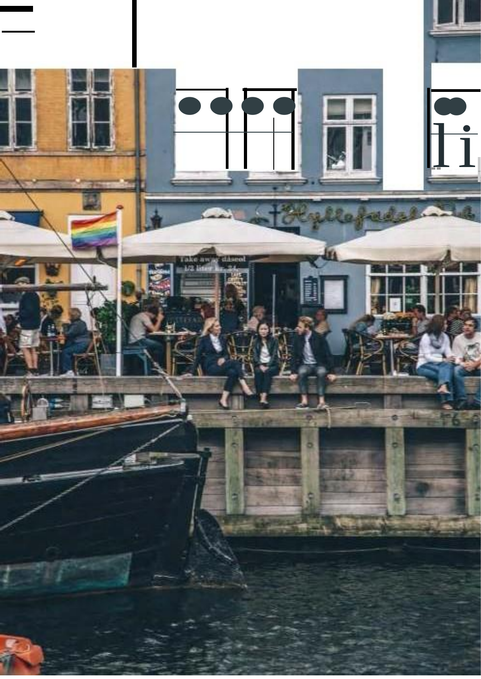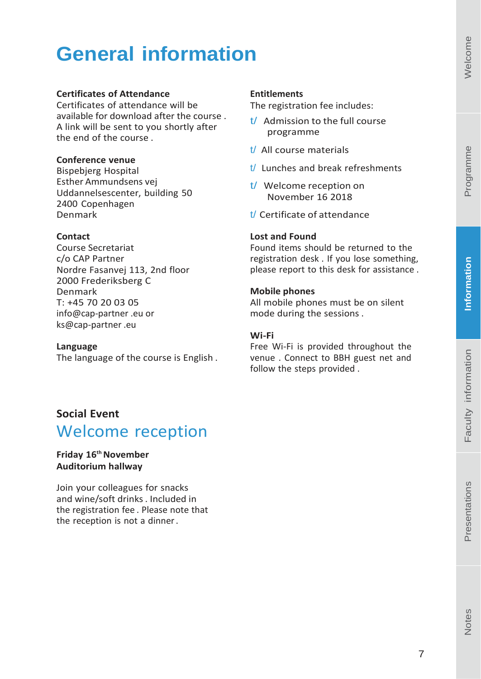Notes

# <span id="page-6-0"></span>**General information**

#### **Certificates of Attendance**

Certificates of attendance will be available for download after the course . A link will be sent to you shortly after the end of the course .

#### **Conference venue**

Bispebjerg Hospital Esther Ammundsens vej Uddannelsescenter, building 50 2400 Copenhagen Denmark

#### **Contact**

Course Secretariat c/o CAP Partner Nordre Fasanvej 113, 2nd floor 2000 Frederiksberg C Denmark T: +45 70 20 03 05 info@cap-partner .eu or ks@cap-partner .eu

#### **Language**

The language of the course is English .

#### **Entitlements**

The registration fee includes:

- t/ Admission to the full course programme
- t/ All course materials
- t/ Lunches and break refreshments
- t/ Welcome reception on November 16 2018
- t/ Certificate of attendance

#### **Lost and Found**

Found items should be returned to the registration desk . If you lose something, please report to this desk for assistance .

#### **Mobile phones**

All mobile phones must be on silent mode during the sessions .

#### **Wi-Fi**

Free Wi-Fi is provided throughout the venue . Connect to BBH guest net and follow the steps provided .

#### **Social Event**

### Welcome reception

#### **Friday 16thNovember Auditorium hallway**

Join your colleagues for snacks and wine/soft drinks. Included in the registration fee . Please note that the reception is not a dinner.

7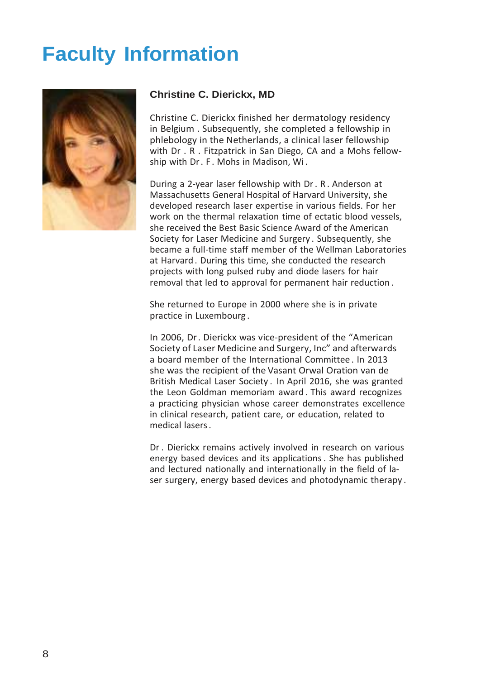## <span id="page-7-0"></span>**Faculty Information**



#### **Christine C. Dierickx, MD**

Christine C. Dierickx finished her dermatology residency in Belgium . Subsequently, she completed a fellowship in phlebology in the Netherlands, a clinical laser fellowship with Dr . R . Fitzpatrick in San Diego, CA and a Mohs fellowship with Dr. F. Mohs in Madison, Wi.

During a 2-year laser fellowship with Dr. R . Anderson at Massachusetts General Hospital of Harvard University, she developed research laser expertise in various fields. For her work on the thermal relaxation time of ectatic blood vessels, she received the Best Basic Science Award of the American Society for Laser Medicine and Surgery . Subsequently, she became a full-time staff member of the Wellman Laboratories at Harvard . During this time, she conducted the research projects with long pulsed ruby and diode lasers for hair removal that led to approval for permanent hair reduction .

She returned to Europe in 2000 where she is in private practice in Luxembourg .

In 2006, Dr. Dierickx was vice-president of the "American Society of Laser Medicine and Surgery, Inc" and afterwards a board member of the International Committee . In 2013 she was the recipient of the Vasant Orwal Oration van de British Medical Laser Society . In April 2016, she was granted the Leon Goldman memoriam award . This award recognizes a practicing physician whose career demonstrates excellence in clinical research, patient care, or education, related to medical lasers.

Dr . Dierickx remains actively involved in research on various energy based devices and its applications. She has published and lectured nationally and internationally in the field of laser surgery, energy based devices and photodynamic therapy .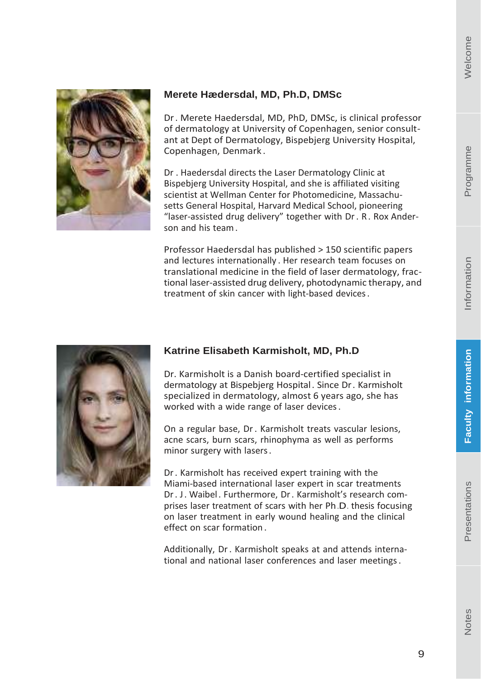

#### **Merete Hædersdal, MD, Ph.D, DMSc**

Dr. Merete Haedersdal, MD, PhD, DMSc, is clinical professor of dermatology at University of Copenhagen, senior consultant at Dept of Dermatology, Bispebjerg University Hospital, Copenhagen, Denmark .

Dr . Haedersdal directs the Laser Dermatology Clinic at Bispebjerg University Hospital, and she is affiliated visiting scientist at Wellman Center for Photomedicine, Massachusetts General Hospital, Harvard Medical School, pioneering "laser-assisted drug delivery" together with Dr. R. Rox Anderson and his team.

Professor Haedersdal has published > 150 scientific papers and lectures internationally . Her research team focuses on translational medicine in the field of laser dermatology, fractional laser-assisted drug delivery, photodynamic therapy, and treatment of skin cancer with light-based devices.



#### **Katrine Elisabeth Karmisholt, MD, Ph.D**

Dr. Karmisholt is a Danish board-certified specialist in dermatology at Bispebjerg Hospital. Since Dr. Karmisholt specialized in dermatology, almost 6 years ago, she has worked with a wide range of laser devices.

On a regular base, Dr. Karmisholt treats vascular lesions, acne scars, burn scars, rhinophyma as well as performs minor surgery with lasers.

Dr. Karmisholt has received expert training with the Miami-based international laser expert in scar treatments Dr. J. Waibel. Furthermore, Dr. Karmisholt's research comprises laser treatment of scars with her Ph.D. thesis focusing on laser treatment in early wound healing and the clinical effect on scar formation .

Additionally, Dr. Karmisholt speaks at and attends international and national laser conferences and laser meetings.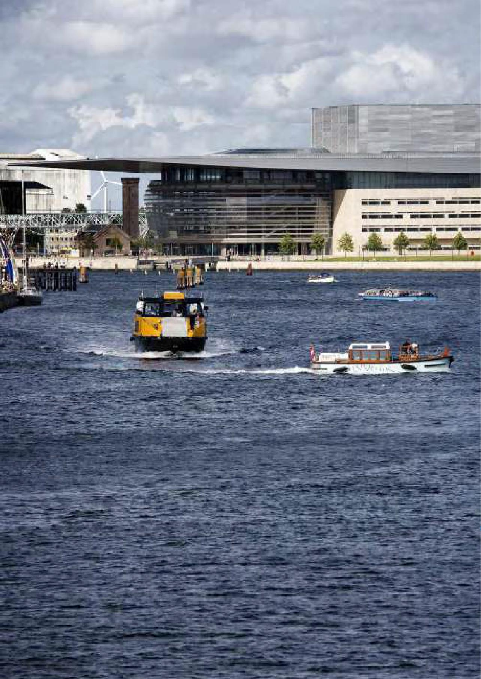